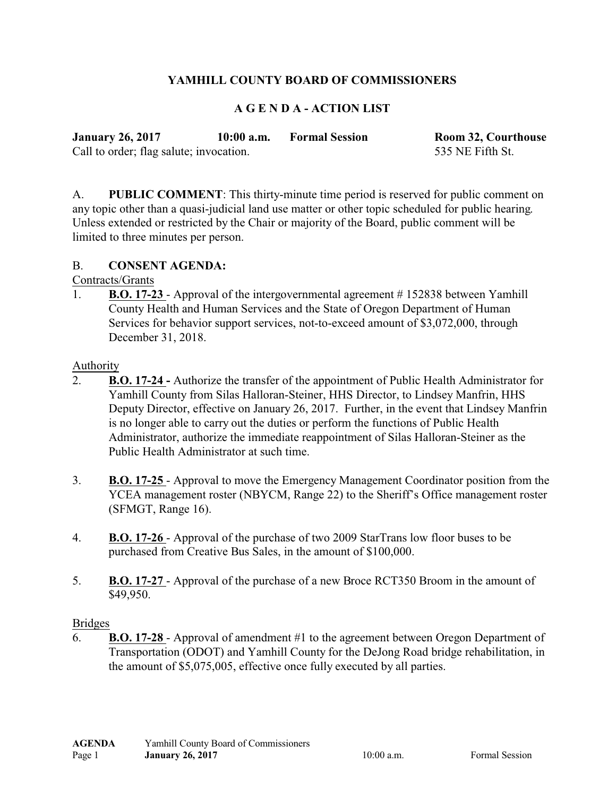# **YAMHILL COUNTY BOARD OF COMMISSIONERS**

## **A G E N D A - ACTION LIST**

| <b>January 26, 2017</b>                 | $10:00$ a.m. | <b>Formal Session</b> | <b>Room 32, Courthouse</b> |
|-----------------------------------------|--------------|-----------------------|----------------------------|
| Call to order; flag salute; invocation. |              |                       | 535 NE Fifth St.           |

A. **PUBLIC COMMENT**: This thirty-minute time period is reserved for public comment on any topic other than a quasi-judicial land use matter or other topic scheduled for public hearing. Unless extended or restricted by the Chair or majority of the Board, public comment will be limited to three minutes per person.

#### B. **CONSENT AGENDA:**

### Contracts/Grants

1. **B.O. 17-23** - Approval of the intergovernmental agreement # 152838 between Yamhill County Health and Human Services and the State of Oregon Department of Human Services for behavior support services, not-to-exceed amount of \$3,072,000, through December 31, 2018.

#### Authority

- 2. **B.O. 17-24** Authorize the transfer of the appointment of Public Health Administrator for Yamhill County from Silas Halloran-Steiner, HHS Director, to Lindsey Manfrin, HHS Deputy Director, effective on January 26, 2017. Further, in the event that Lindsey Manfrin is no longer able to carry out the duties or perform the functions of Public Health Administrator, authorize the immediate reappointment of Silas Halloran-Steiner as the Public Health Administrator at such time.
- 3. **B.O. 17-25**  Approval to move the Emergency Management Coordinator position from the YCEA management roster (NBYCM, Range 22) to the Sheriff's Office management roster (SFMGT, Range 16).
- 4. **B.O. 17-26**  Approval of the purchase of two 2009 StarTrans low floor buses to be purchased from Creative Bus Sales, in the amount of \$100,000.
- 5. **B.O. 17-27**  Approval of the purchase of a new Broce RCT350 Broom in the amount of \$49,950.

#### Bridges

6. **B.O. 17-28** - Approval of amendment #1 to the agreement between Oregon Department of Transportation (ODOT) and Yamhill County for the DeJong Road bridge rehabilitation, in the amount of \$5,075,005, effective once fully executed by all parties.